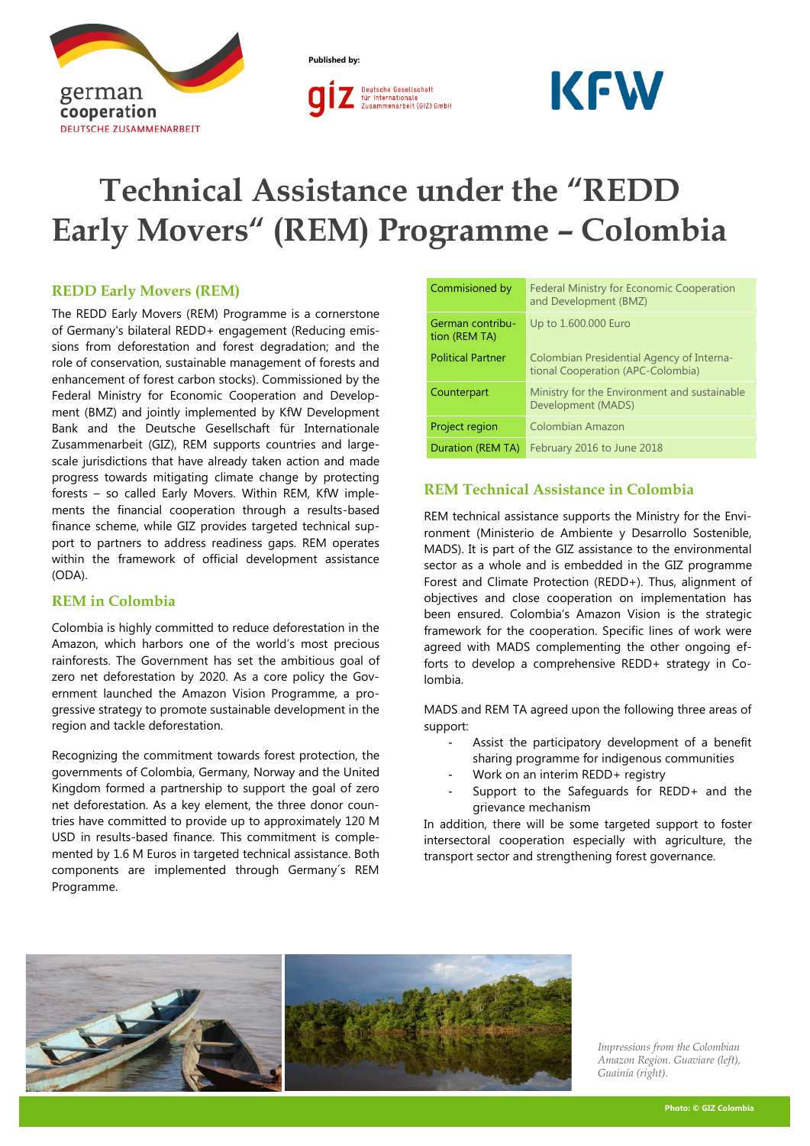

**Published by:**



# **KFW**

# **Technical Assistance under the "REDD Early Movers" (REM) Programme – Colombia**

# **REDD Early Movers (REM)**

The REDD Early Movers (REM) Programme is a cornerstone of Germany's bilateral REDD+ engagement (Reducing emissions from deforestation and forest degradation; and the role of conservation, sustainable management of forests and enhancement of forest carbon stocks). Commissioned by the Federal Ministry for Economic Cooperation and Development (BMZ) and jointly implemented by KfW Development Bank and the Deutsche Gesellschaft für Internationale Zusammenarbeit (GIZ), REM supports countries and largescale jurisdictions that have already taken action and made progress towards mitigating climate change by protecting forests – so called Early Movers. Within REM, KfW implements the financial cooperation through a results-based finance scheme, while GIZ provides targeted technical support to partners to address readiness gaps. REM operates within the framework of official development assistance (ODA).

#### **REM in Colombia**

Colombia is highly committed to reduce deforestation in the Amazon, which harbors one of the world's most precious rainforests. The Government has set the ambitious goal of zero net deforestation by 2020. As a core policy the Government launched the Amazon Vision Programme, a progressive strategy to promote sustainable development in the region and tackle deforestation.

Recognizing the commitment towards forest protection, the governments of Colombia, Germany, Norway and the United Kingdom formed a partnership to support the goal of zero net deforestation. As a key element, the three donor countries have committed to provide up to approximately 120 M USD in results-based finance. This commitment is complemented by 1.6 M Euros in targeted technical assistance. Both components are implemented through Germany´s REM Programme.

| Commisioned by                    | <b>Federal Ministry for Economic Cooperation</b><br>and Development (BMZ)      |  |
|-----------------------------------|--------------------------------------------------------------------------------|--|
| German contribu-<br>tion (REM TA) | Up to 1.600.000 Euro                                                           |  |
| <b>Political Partner</b>          | Colombian Presidential Agency of Interna-<br>tional Cooperation (APC-Colombia) |  |
| Counterpart                       | Ministry for the Environment and sustainable<br>Development (MADS)             |  |
| Project region                    | <b>Colombian Amazon</b>                                                        |  |
| Duration (REM TA)                 | February 2016 to June 2018                                                     |  |

# **REM Technical Assistance in Colombia**

REM technical assistance supports the Ministry for the Environment (Ministerio de Ambiente y Desarrollo Sostenible, MADS). It is part of the GIZ assistance to the environmental sector as a whole and is embedded in the GIZ programme Forest and Climate Protection (REDD+). Thus, alignment of objectives and close cooperation on implementation has been ensured. Colombia's Amazon Vision is the strategic framework for the cooperation. Specific lines of work were agreed with MADS complementing the other ongoing efforts to develop a comprehensive REDD+ strategy in Colombia.

MADS and REM TA agreed upon the following three areas of support:

- Assist the participatory development of a benefit sharing programme for indigenous communities
- Work on an interim REDD+ registry
- Support to the Safeguards for REDD+ and the grievance mechanism

In addition, there will be some targeted support to foster intersectoral cooperation especially with agriculture, the transport sector and strengthening forest governance.



*Impressions from the Colombian Amazon Region. Guaviare (left), Guainía (right).*